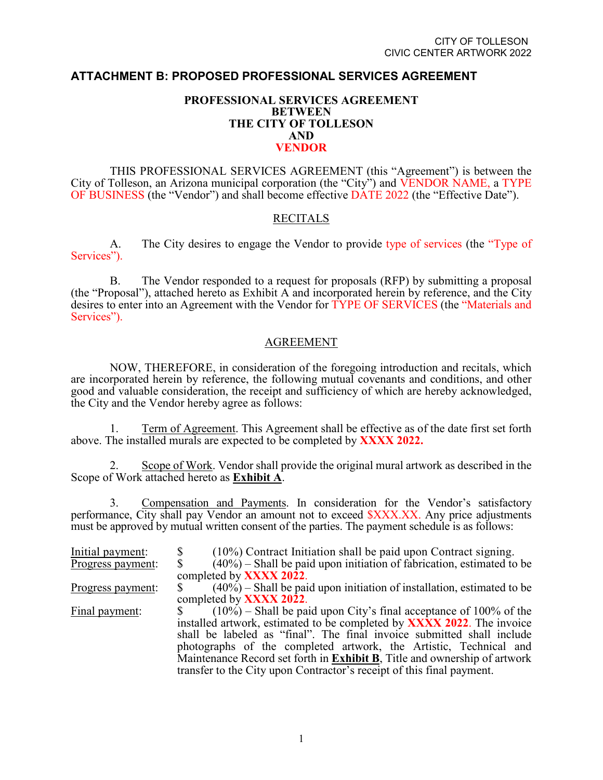# **ATTACHMENT B: PROPOSED PROFESSIONAL SERVICES AGREEMENT**

# **PROFESSIONAL SERVICES AGREEMENT BETWEEN THE CITY OF TOLLESON AND VENDOR**

THIS PROFESSIONAL SERVICES AGREEMENT (this "Agreement") is between the City of Tolleson, an Arizona municipal corporation (the "City") and VENDOR NAME, a TYPE OF BUSINESS (the "Vendor") and shall become effective DATE 2022 (the "Effective Date").

## RECITALS

A. The City desires to engage the Vendor to provide type of services (the "Type of Services").

B. The Vendor responded to a request for proposals (RFP) by submitting a proposal (the "Proposal"), attached hereto as Exhibit A and incorporated herein by reference, and the City desires to enter into an Agreement with the Vendor for TYPE OF SERVICES (the "Materials and Services").

## AGREEMENT

NOW, THEREFORE, in consideration of the foregoing introduction and recitals, which are incorporated herein by reference, the following mutual covenants and conditions, and other good and valuable consideration, the receipt and sufficiency of which are hereby acknowledged, the City and the Vendor hereby agree as follows:

1. Term of Agreement. This Agreement shall be effective as of the date first set forth above. The installed murals are expected to be completed by **XXXX 2022.**

2. Scope of Work. Vendor shall provide the original mural artwork as described in the Scope of Work attached hereto as **Exhibit A**.

3. Compensation and Payments. In consideration for the Vendor's satisfactory performance, City shall pay Vendor an amount not to exceed  $\frac{S}{X}$ XX.XX. Any price adjustments must be approved by mutual written consent of the parties. The payment schedule is as follows:

| Initial payment:  | $(10\%)$ Contract Initiation shall be paid upon Contract signing.              |
|-------------------|--------------------------------------------------------------------------------|
| Progress payment: | $(40\%)$ – Shall be paid upon initiation of fabrication, estimated to be       |
|                   | completed by <b>XXXX 2022</b> .                                                |
| Progress payment: | $(40\%)$ – Shall be paid upon initiation of installation, estimated to be      |
|                   | completed by <b>XXXX 2022</b> .                                                |
| Final payment:    | $(10\%)$ – Shall be paid upon City's final acceptance of 100% of the           |
|                   | installed artwork, estimated to be completed by <b>XXXX 2022</b> . The invoice |
|                   | shall be labeled as "final". The final invoice submitted shall include         |
|                   | photographs of the completed artwork, the Artistic, Technical and              |
|                   | Maintenance Record set forth in Exhibit B, Title and ownership of artwork      |
|                   | transfer to the City upon Contractor's receipt of this final payment.          |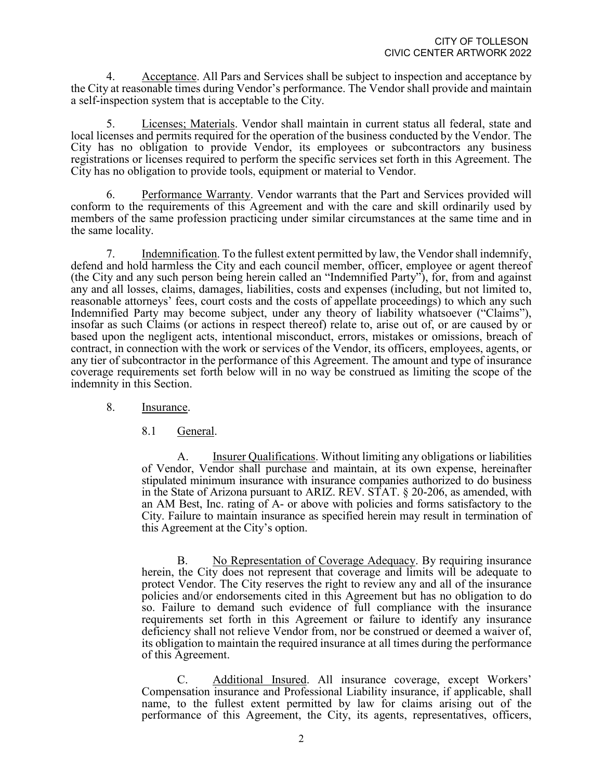4. Acceptance. All Pars and Services shall be subject to inspection and acceptance by the City at reasonable times during Vendor's performance. The Vendor shall provide and maintain a self-inspection system that is acceptable to the City.

5. Licenses; Materials. Vendor shall maintain in current status all federal, state and local licenses and permits required for the operation of the business conducted by the Vendor. The City has no obligation to provide Vendor, its employees or subcontractors any business registrations or licenses required to perform the specific services set forth in this Agreement. The City has no obligation to provide tools, equipment or material to Vendor.

6. Performance Warranty. Vendor warrants that the Part and Services provided will conform to the requirements of this Agreement and with the care and skill ordinarily used by members of the same profession practicing under similar circumstances at the same time and in the same locality.

7. Indemnification. To the fullest extent permitted by law, the Vendor shall indemnify, defend and hold harmless the City and each council member, officer, employee or agent thereof (the City and any such person being herein called an "Indemnified Party"), for, from and against any and all losses, claims, damages, liabilities, costs and expenses (including, but not limited to, reasonable attorneys' fees, court costs and the costs of appellate proceedings) to which any such Indemnified Party may become subject, under any theory of liability whatsoever ("Claims"), insofar as such Claims (or actions in respect thereof) relate to, arise out of, or are caused by or based upon the negligent acts, intentional misconduct, errors, mistakes or omissions, breach of contract, in connection with the work or services of the Vendor, its officers, employees, agents, or any tier of subcontractor in the performance of this Agreement. The amount and type of insurance coverage requirements set forth below will in no way be construed as limiting the scope of the indemnity in this Section.

- 8. Insurance.
	- 8.1 General.

A. Insurer Qualifications. Without limiting any obligations or liabilities of Vendor, Vendor shall purchase and maintain, at its own expense, hereinafter stipulated minimum insurance with insurance companies authorized to do business in the State of Arizona pursuant to ARIZ. REV. STAT. § 20-206, as amended, with an AM Best, Inc. rating of A- or above with policies and forms satisfactory to the City. Failure to maintain insurance as specified herein may result in termination of this Agreement at the City's option.

B. No Representation of Coverage Adequacy. By requiring insurance herein, the City does not represent that coverage and limits will be adequate to protect Vendor. The City reserves the right to review any and all of the insurance policies and/or endorsements cited in this Agreement but has no obligation to do so. Failure to demand such evidence of full compliance with the insurance requirements set forth in this Agreement or failure to identify any insurance deficiency shall not relieve Vendor from, nor be construed or deemed a waiver of, its obligation to maintain the required insurance at all times during the performance of this Agreement.

C. Additional Insured. All insurance coverage, except Workers' Compensation insurance and Professional Liability insurance, if applicable, shall name, to the fullest extent permitted by law for claims arising out of the performance of this Agreement, the City, its agents, representatives, officers,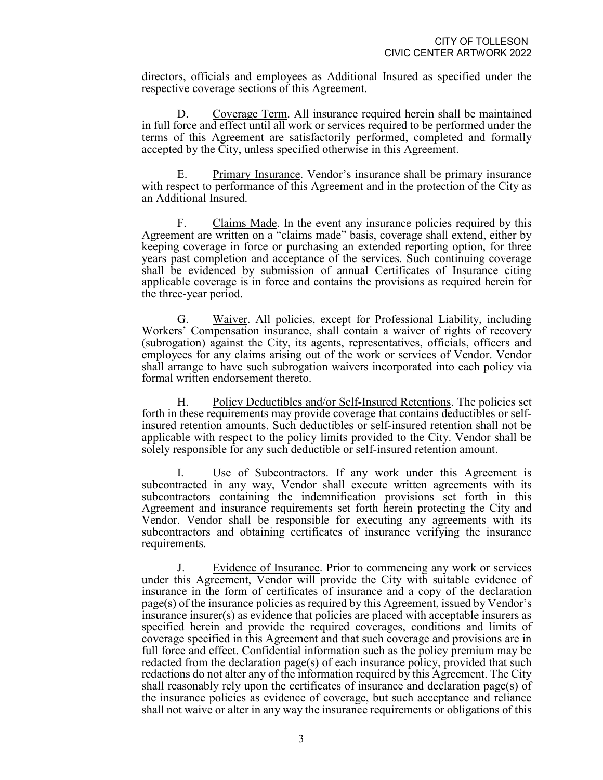directors, officials and employees as Additional Insured as specified under the respective coverage sections of this Agreement.

D. Coverage Term. All insurance required herein shall be maintained in full force and effect until all work or services required to be performed under the terms of this Agreement are satisfactorily performed, completed and formally accepted by the City, unless specified otherwise in this Agreement.

E. Primary Insurance. Vendor's insurance shall be primary insurance with respect to performance of this Agreement and in the protection of the City as an Additional Insured.

F. Claims Made. In the event any insurance policies required by this Agreement are written on a "claims made" basis, coverage shall extend, either by keeping coverage in force or purchasing an extended reporting option, for three years past completion and acceptance of the services. Such continuing coverage shall be evidenced by submission of annual Certificates of Insurance citing applicable coverage is in force and contains the provisions as required herein for the three-year period.

G. Waiver. All policies, except for Professional Liability, including Workers' Compensation insurance, shall contain a waiver of rights of recovery (subrogation) against the City, its agents, representatives, officials, officers and employees for any claims arising out of the work or services of Vendor. Vendor shall arrange to have such subrogation waivers incorporated into each policy via formal written endorsement thereto.

H. Policy Deductibles and/or Self-Insured Retentions. The policies set forth in these requirements may provide coverage that contains deductibles or self- insured retention amounts. Such deductibles or self-insured retention shall not be applicable with respect to the policy limits provided to the City. Vendor shall be solely responsible for any such deductible or self-insured retention amount.

Use of Subcontractors. If any work under this Agreement is subcontracted in any way, Vendor shall execute written agreements with its subcontractors containing the indemnification provisions set forth in this Agreement and insurance requirements set forth herein protecting the City and Vendor. Vendor shall be responsible for executing any agreements with its subcontractors and obtaining certificates of insurance verifying the insurance requirements.

J. Evidence of Insurance. Prior to commencing any work or services under this Agreement, Vendor will provide the City with suitable evidence of insurance in the form of certificates of insurance and a copy of the declaration page(s) of the insurance policies as required by this Agreement, issued by Vendor's insurance insurer(s) as evidence that policies are placed with acceptable insurers as specified herein and provide the required coverages, conditions and limits of coverage specified in this Agreement and that such coverage and provisions are in full force and effect. Confidential information such as the policy premium may be redacted from the declaration page(s) of each insurance policy, provided that such redactions do not alter any of the information required by this Agreement. The City shall reasonably rely upon the certificates of insurance and declaration page(s) of the insurance policies as evidence of coverage, but such acceptance and reliance shall not waive or alter in any way the insurance requirements or obligations of this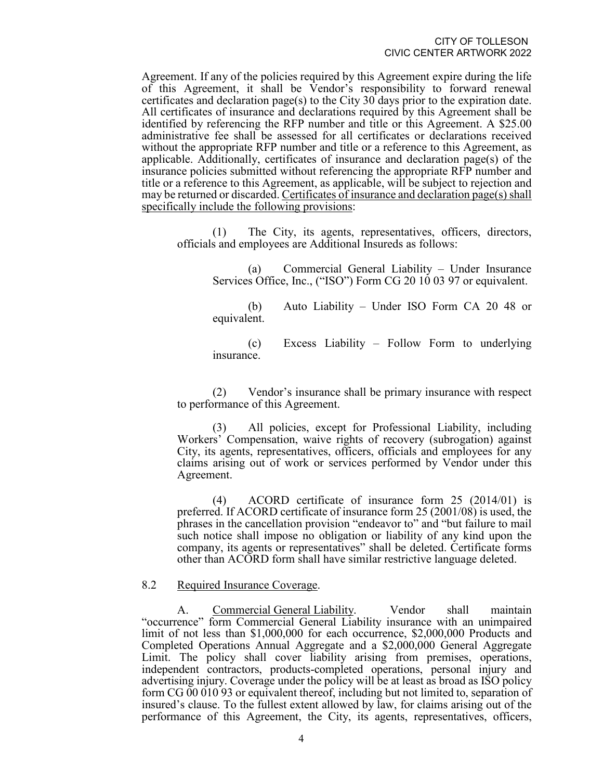Agreement. If any of the policies required by this Agreement expire during the life of this Agreement, it shall be Vendor's responsibility to forward renewal certificates and declaration page(s) to the City 30 days prior to the expiration date. All certificates of insurance and declarations required by this Agreement shall be identified by referencing the RFP number and title or this Agreement. A \$25.00 administrative fee shall be assessed for all certificates or declarations received without the appropriate RFP number and title or a reference to this Agreement, as applicable. Additionally, certificates of insurance and declaration page(s) of the insurance policies submitted without referencing the appropriate RFP number and title or a reference to this Agreement, as applicable, will be subject to rejection and may be returned or discarded. Certificates of insurance and declaration page(s) shall specifically include the following provisions:

(1) The City, its agents, representatives, officers, directors, officials and employees are Additional Insureds as follows:

> (a) Commercial General Liability – Under Insurance Services Office, Inc., ("ISO") Form CG 20 10 03 97 or equivalent.

> (b) Auto Liability – Under ISO Form CA 20 48 or equivalent.

> (c) Excess Liability – Follow Form to underlying insurance.

(2) Vendor's insurance shall be primary insurance with respect to performance of this Agreement.

(3) All policies, except for Professional Liability, including Workers' Compensation, waive rights of recovery (subrogation) against City, its agents, representatives, officers, officials and employees for any claims arising out of work or services performed by Vendor under this Agreement.

(4) ACORD certificate of insurance form 25 (2014/01) is preferred. If ACORD certificate of insurance form 25 (2001/08) is used, the phrases in the cancellation provision "endeavor to" and "but failure to mail such notice shall impose no obligation or liability of any kind upon the company, its agents or representatives" shall be deleted. Certificate forms other than ACORD form shall have similar restrictive language deleted.

#### 8.2 Required Insurance Coverage.

A. Commercial General Liability. Vendor shall maintain "occurrence" form Commercial General Liability insurance with an unimpaired limit of not less than \$1,000,000 for each occurrence, \$2,000,000 Products and Completed Operations Annual Aggregate and a \$2,000,000 General Aggregate Limit. The policy shall cover liability arising from premises, operations, independent contractors, products-completed operations, personal injury and advertising injury. Coverage under the policy will be at least as broad as ISO policy form CG 00 010 93 or equivalent thereof, including but not limited to, separation of insured's clause. To the fullest extent allowed by law, for claims arising out of the performance of this Agreement, the City, its agents, representatives, officers,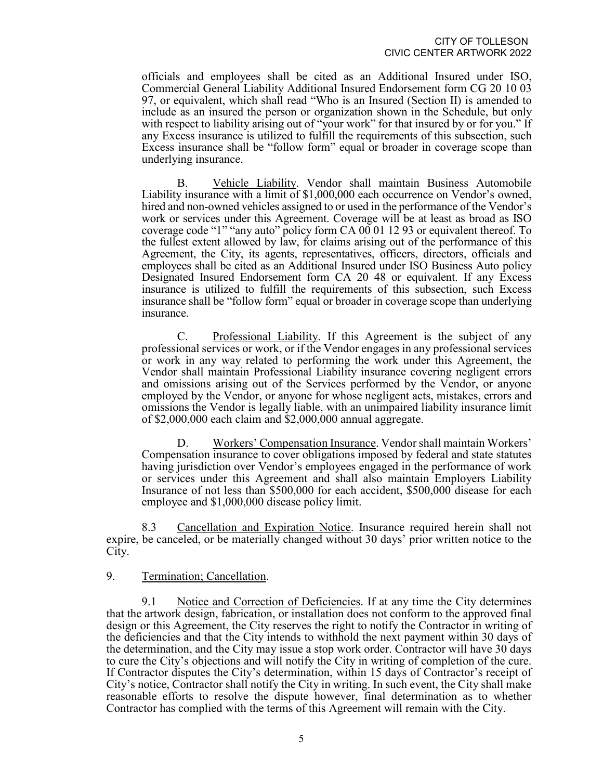officials and employees shall be cited as an Additional Insured under ISO, Commercial General Liability Additional Insured Endorsement form CG 20 10 03 97, or equivalent, which shall read "Who is an Insured (Section II) is amended to include as an insured the person or organization shown in the Schedule, but only with respect to liability arising out of "your work" for that insured by or for you." If any Excess insurance is utilized to fulfill the requirements of this subsection, such Excess insurance shall be "follow form" equal or broader in coverage scope than underlying insurance.

B. Vehicle Liability. Vendor shall maintain Business Automobile Liability insurance with a limit of \$1,000,000 each occurrence on Vendor's owned, hired and non-owned vehicles assigned to or used in the performance of the Vendor's work or services under this Agreement. Coverage will be at least as broad as ISO coverage code "1" "any auto" policy form CA 00 01 12 93 or equivalent thereof. To the fullest extent allowed by law, for claims arising out of the performance of this Agreement, the City, its agents, representatives, officers, directors, officials and employees shall be cited as an Additional Insured under ISO Business Auto policy Designated Insured Endorsement form CA 20 48 or equivalent. If any Excess insurance is utilized to fulfill the requirements of this subsection, such Excess insurance shall be "follow form" equal or broader in coverage scope than underlying insurance.

C. Professional Liability. If this Agreement is the subject of any professional services or work, or if the Vendor engages in any professional services or work in any way related to performing the work under this Agreement, the Vendor shall maintain Professional Liability insurance covering negligent errors and omissions arising out of the Services performed by the Vendor, or anyone employed by the Vendor, or anyone for whose negligent acts, mistakes, errors and omissions the Vendor is legally liable, with an unimpaired liability insurance limit of \$2,000,000 each claim and \$2,000,000 annual aggregate.

D. Workers' Compensation Insurance. Vendor shall maintain Workers' Compensation insurance to cover obligations imposed by federal and state statutes having jurisdiction over Vendor's employees engaged in the performance of work or services under this Agreement and shall also maintain Employers Liability Insurance of not less than \$500,000 for each accident, \$500,000 disease for each employee and \$1,000,000 disease policy limit.

8.3 Cancellation and Expiration Notice. Insurance required herein shall not expire, be canceled, or be materially changed without 30 days' prior written notice to the City.

#### 9. Termination; Cancellation.

9.1 Notice and Correction of Deficiencies. If at any time the City determines that the artwork design, fabrication, or installation does not conform to the approved final design or this Agreement, the City reserves the right to notify the Contractor in writing of the deficiencies and that the City intends to withhold the next payment within 30 days of the determination, and the City may issue a stop work order. Contractor will have 30 days to cure the City's objections and will notify the City in writing of completion of the cure. If Contractor disputes the City's determination, within 15 days of Contractor's receipt of City's notice, Contractor shall notify the City in writing. In such event, the City shall make reasonable efforts to resolve the dispute however, final determination as to whether Contractor has complied with the terms of this Agreement will remain with the City.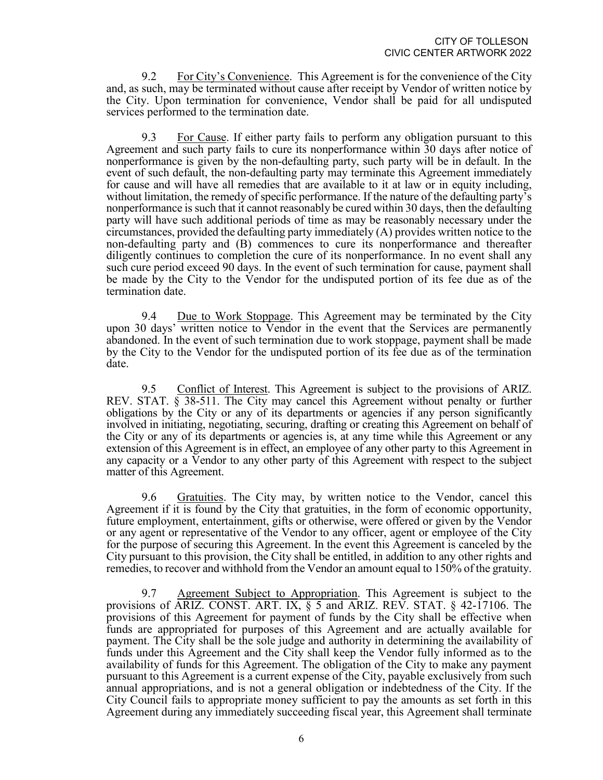9.2 For City's Convenience. This Agreement is for the convenience of the City and, as such, may be terminated without cause after receipt by Vendor of written notice by the City. Upon termination for convenience, Vendor shall be paid for all undisputed services performed to the termination date.

9.3 For Cause. If either party fails to perform any obligation pursuant to this Agreement and such party fails to cure its nonperformance within 30 days after notice of nonperformance is given by the non-defaulting party, such party will be in default. In the event of such default, the non-defaulting party may terminate this Agreement immediately for cause and will have all remedies that are available to it at law or in equity including, without limitation, the remedy of specific performance. If the nature of the defaulting party's nonperformance is such that it cannot reasonably be cured within 30 days, then the defaulting party will have such additional periods of time as may be reasonably necessary under the circumstances, provided the defaulting party immediately (A) provides written notice to the non-defaulting party and (B) commences to cure its nonperformance and thereafter diligently continues to completion the cure of its nonperformance. In no event shall any such cure period exceed 90 days. In the event of such termination for cause, payment shall be made by the City to the Vendor for the undisputed portion of its fee due as of the termination date.

9.4 Due to Work Stoppage. This Agreement may be terminated by the City upon 30 days' written notice to Vendor in the event that the Services are permanently abandoned. In the event of such termination due to work stoppage, payment shall be made by the City to the Vendor for the undisputed portion of its fee due as of the termination date.

9.5 Conflict of Interest. This Agreement is subject to the provisions of ARIZ. REV. STAT. § 38-511. The City may cancel this Agreement without penalty or further obligations by the City or any of its departments or agencies if any person significantly involved in initiating, negotiating, securing, drafting or creating this Agreement on behalf of the City or any of its departments or agencies is, at any time while this Agreement or any extension of this Agreement is in effect, an employee of any other party to this Agreement in any capacity or a Vendor to any other party of this Agreement with respect to the subject matter of this Agreement.

9.6 Gratuities. The City may, by written notice to the Vendor, cancel this Agreement if it is found by the City that gratuities, in the form of economic opportunity, future employment, entertainment, gifts or otherwise, were offered or given by the Vendor or any agent or representative of the Vendor to any officer, agent or employee of the City for the purpose of securing this Agreement. In the event this Agreement is canceled by the City pursuant to this provision, the City shall be entitled, in addition to any other rights and remedies, to recover and withhold from the Vendor an amount equal to 150% of the gratuity.

9.7 Agreement Subject to Appropriation. This Agreement is subject to the provisions of ARIZ. CONST. ART. IX, § 5 and ARIZ. REV. STAT. § 42-17106. The provisions of this Agreement for payment of funds by the City shall be effective when funds are appropriated for purposes of this Agreement and are actually available for payment. The City shall be the sole judge and authority in determining the availability of funds under this Agreement and the City shall keep the Vendor fully informed as to the availability of funds for this Agreement. The obligation of the City to make any payment pursuant to this Agreement is a current expense of the City, payable exclusively from such annual appropriations, and is not a general obligation or indebtedness of the City. If the City Council fails to appropriate money sufficient to pay the amounts as set forth in this Agreement during any immediately succeeding fiscal year, this Agreement shall terminate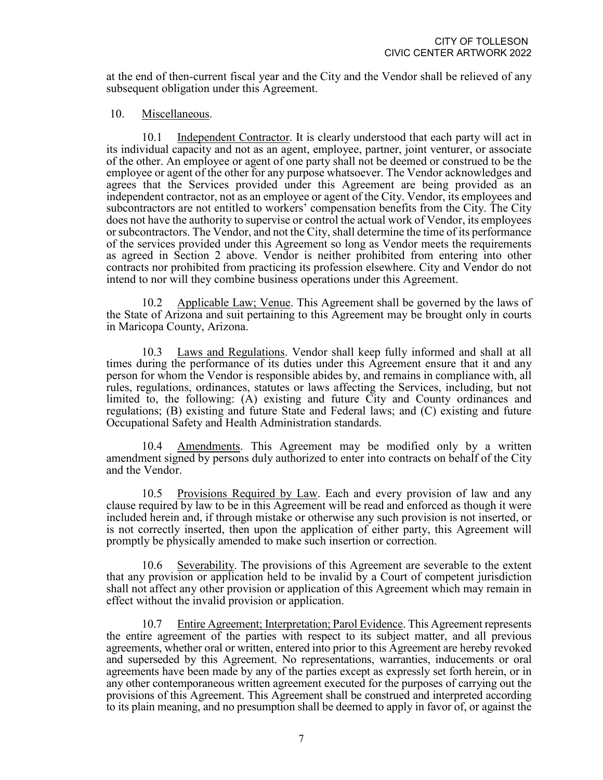at the end of then-current fiscal year and the City and the Vendor shall be relieved of any subsequent obligation under this Agreement.

# 10. Miscellaneous.

10.1 Independent Contractor. It is clearly understood that each party will act in its individual capacity and not as an agent, employee, partner, joint venturer, or associate of the other. An employee or agent of one party shall not be deemed or construed to be the employee or agent of the other for any purpose whatsoever. The Vendor acknowledges and agrees that the Services provided under this Agreement are being provided as an independent contractor, not as an employee or agent of the City. Vendor, its employees and subcontractors are not entitled to workers' compensation benefits from the City. The City does not have the authority to supervise or control the actual work of Vendor, its employees or subcontractors. The Vendor, and not the City, shall determine the time of its performance of the services provided under this Agreement so long as Vendor meets the requirements as agreed in Section 2 above. Vendor is neither prohibited from entering into other contracts nor prohibited from practicing its profession elsewhere. City and Vendor do not intend to nor will they combine business operations under this Agreement.

10.2 Applicable Law; Venue. This Agreement shall be governed by the laws of the State of Arizona and suit pertaining to this Agreement may be brought only in courts in Maricopa County, Arizona.

10.3 Laws and Regulations. Vendor shall keep fully informed and shall at all times during the performance of its duties under this Agreement ensure that it and any person for whom the Vendor is responsible abides by, and remains in compliance with, all rules, regulations, ordinances, statutes or laws affecting the Services, including, but not limited to, the following: (A) existing and future City and County ordinances and regulations; (B) existing and future State and Federal laws; and (C) existing and future Occupational Safety and Health Administration standards.

10.4 Amendments. This Agreement may be modified only by a written amendment signed by persons duly authorized to enter into contracts on behalf of the City and the Vendor.

10.5 Provisions Required by Law. Each and every provision of law and any clause required by law to be in this Agreement will be read and enforced as though it were included herein and, if through mistake or otherwise any such provision is not inserted, or is not correctly inserted, then upon the application of either party, this Agreement will promptly be physically amended to make such insertion or correction.

10.6 Severability. The provisions of this Agreement are severable to the extent that any provision or application held to be invalid by a Court of competent jurisdiction shall not affect any other provision or application of this Agreement which may remain in effect without the invalid provision or application.

10.7 Entire Agreement; Interpretation; Parol Evidence. This Agreement represents the entire agreement of the parties with respect to its subject matter, and all previous agreements, whether oral or written, entered into prior to this Agreement are hereby revoked and superseded by this Agreement. No representations, warranties, inducements or oral agreements have been made by any of the parties except as expressly set forth herein, or in any other contemporaneous written agreement executed for the purposes of carrying out the provisions of this Agreement. This Agreement shall be construed and interpreted according to its plain meaning, and no presumption shall be deemed to apply in favor of, or against the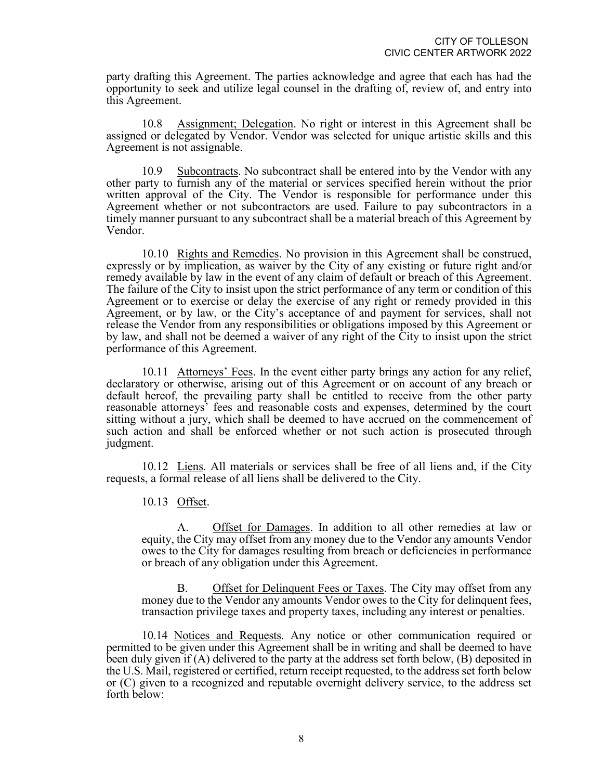party drafting this Agreement. The parties acknowledge and agree that each has had the opportunity to seek and utilize legal counsel in the drafting of, review of, and entry into this Agreement.

10.8 Assignment; Delegation. No right or interest in this Agreement shall be assigned or delegated by Vendor. Vendor was selected for unique artistic skills and this Agreement is not assignable.

10.9 Subcontracts. No subcontract shall be entered into by the Vendor with any other party to furnish any of the material or services specified herein without the prior written approval of the City. The Vendor is responsible for performance under this Agreement whether or not subcontractors are used. Failure to pay subcontractors in a timely manner pursuant to any subcontract shall be a material breach of this Agreement by Vendor.

10.10 Rights and Remedies. No provision in this Agreement shall be construed, expressly or by implication, as waiver by the City of any existing or future right and/or remedy available by law in the event of any claim of default or breach of this Agreement. The failure of the City to insist upon the strict performance of any term or condition of this Agreement or to exercise or delay the exercise of any right or remedy provided in this Agreement, or by law, or the City's acceptance of and payment for services, shall not release the Vendor from any responsibilities or obligations imposed by this Agreement or by law, and shall not be deemed a waiver of any right of the City to insist upon the strict performance of this Agreement.

10.11 Attorneys' Fees. In the event either party brings any action for any relief, declaratory or otherwise, arising out of this Agreement or on account of any breach or default hereof, the prevailing party shall be entitled to receive from the other party reasonable attorneys' fees and reasonable costs and expenses, determined by the court sitting without a jury, which shall be deemed to have accrued on the commencement of such action and shall be enforced whether or not such action is prosecuted through judgment.

10.12 Liens. All materials or services shall be free of all liens and, if the City requests, a formal release of all liens shall be delivered to the City.

10.13 Offset.

A. Offset for Damages. In addition to all other remedies at law or equity, the City may offset from any money due to the Vendor any amounts Vendor owes to the City for damages resulting from breach or deficiencies in performance or breach of any obligation under this Agreement.

B. Offset for Delinquent Fees or Taxes. The City may offset from any money due to the Vendor any amounts Vendor owes to the City for delinquent fees, transaction privilege taxes and property taxes, including any interest or penalties.

10.14 Notices and Requests. Any notice or other communication required or permitted to be given under this Agreement shall be in writing and shall be deemed to have been duly given if (A) delivered to the party at the address set forth below, (B) deposited in the U.S. Mail, registered or certified, return receipt requested, to the address set forth below or (C) given to a recognized and reputable overnight delivery service, to the address set forth below: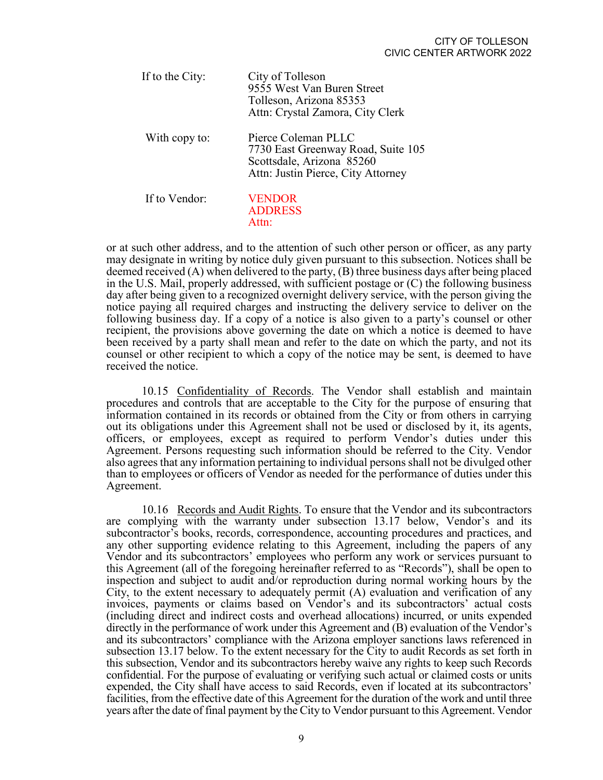| If to the City: | City of Tolleson<br>9555 West Van Buren Street<br>Tolleson, Arizona 85353<br>Attn: Crystal Zamora, City Clerk                |
|-----------------|------------------------------------------------------------------------------------------------------------------------------|
| With copy to:   | Pierce Coleman PLLC<br>7730 East Greenway Road, Suite 105<br>Scottsdale, Arizona 85260<br>Attn: Justin Pierce, City Attorney |
| If to Vendor:   | <b>VENDOR</b><br><b>ADDRESS</b><br>Attn·                                                                                     |

or at such other address, and to the attention of such other person or officer, as any party may designate in writing by notice duly given pursuant to this subsection. Notices shall be deemed received (A) when delivered to the party, (B) three business days after being placed in the U.S. Mail, properly addressed, with sufficient postage or (C) the following business day after being given to a recognized overnight delivery service, with the person giving the notice paying all required charges and instructing the delivery service to deliver on the following business day. If a copy of a notice is also given to a party's counsel or other recipient, the provisions above governing the date on which a notice is deemed to have been received by a party shall mean and refer to the date on which the party, and not its counsel or other recipient to which a copy of the notice may be sent, is deemed to have received the notice.

10.15 Confidentiality of Records. The Vendor shall establish and maintain procedures and controls that are acceptable to the City for the purpose of ensuring that information contained in its records or obtained from the City or from others in carrying out its obligations under this Agreement shall not be used or disclosed by it, its agents, officers, or employees, except as required to perform Vendor's duties under this Agreement. Persons requesting such information should be referred to the City. Vendor also agrees that any information pertaining to individual persons shall not be divulged other than to employees or officers of Vendor as needed for the performance of duties under this Agreement.

10.16 Records and Audit Rights. To ensure that the Vendor and its subcontractors are complying with the warranty under subsection 13.17 below, Vendor's and its subcontractor's books, records, correspondence, accounting procedures and practices, and any other supporting evidence relating to this Agreement, including the papers of any Vendor and its subcontractors' employees who perform any work or services pursuant to this Agreement (all of the foregoing hereinafter referred to as "Records"), shall be open to inspection and subject to audit and/or reproduction during normal working hours by the City, to the extent necessary to adequately permit (A) evaluation and verification of any invoices, payments or claims based on Vendor's and its subcontractors' actual costs (including direct and indirect costs and overhead allocations) incurred, or units expended directly in the performance of work under this Agreement and (B) evaluation of the Vendor's and its subcontractors' compliance with the Arizona employer sanctions laws referenced in subsection 13.17 below. To the extent necessary for the City to audit Records as set forth in this subsection, Vendor and its subcontractors hereby waive any rights to keep such Records confidential. For the purpose of evaluating or verifying such actual or claimed costs or units expended, the City shall have access to said Records, even if located at its subcontractors' facilities, from the effective date of this Agreement for the duration of the work and until three years after the date of final payment by the City to Vendor pursuant to this Agreement. Vendor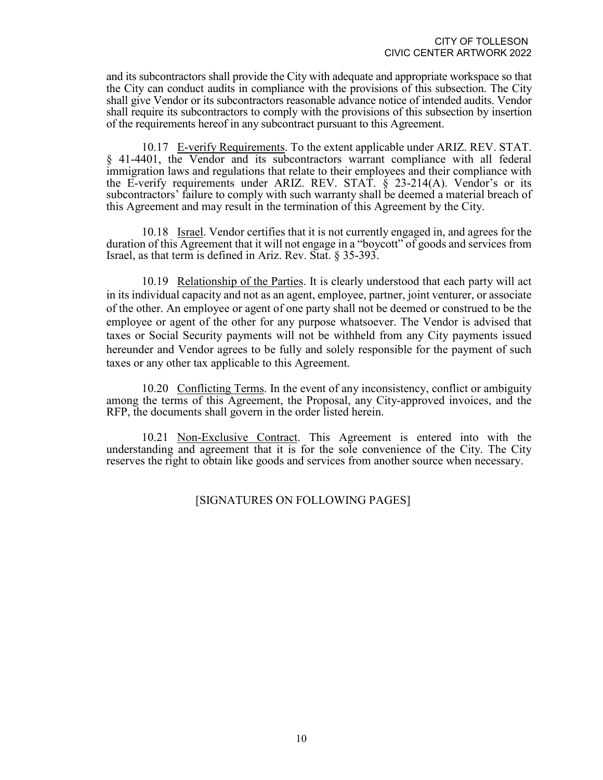and its subcontractors shall provide the City with adequate and appropriate workspace so that the City can conduct audits in compliance with the provisions of this subsection. The City shall give Vendor or its subcontractors reasonable advance notice of intended audits. Vendor shall require its subcontractors to comply with the provisions of this subsection by insertion of the requirements hereof in any subcontract pursuant to this Agreement.

10.17 E-verify Requirements. To the extent applicable under ARIZ. REV. STAT. § 41-4401, the Vendor and its subcontractors warrant compliance with all federal immigration laws and regulations that relate to their employees and their compliance with the E-verify requirements under ARIZ. REV. STAT. § 23-214(A). Vendor's or its subcontractors' failure to comply with such warranty shall be deemed a material breach of this Agreement and may result in the termination of this Agreement by the City.

10.18 Israel. Vendor certifies that it is not currently engaged in, and agrees for the duration of this Agreement that it will not engage in a "boycott" of goods and services from Israel, as that term is defined in Ariz. Rev. Stat. § 35-393.

10.19 Relationship of the Parties. It is clearly understood that each party will act in its individual capacity and not as an agent, employee, partner, joint venturer, or associate of the other. An employee or agent of one party shall not be deemed or construed to be the employee or agent of the other for any purpose whatsoever. The Vendor is advised that taxes or Social Security payments will not be withheld from any City payments issued hereunder and Vendor agrees to be fully and solely responsible for the payment of such taxes or any other tax applicable to this Agreement.

10.20 Conflicting Terms. In the event of any inconsistency, conflict or ambiguity among the terms of this Agreement, the Proposal, any City-approved invoices, and the RFP, the documents shall govern in the order listed herein.

10.21 Non-Exclusive Contract. This Agreement is entered into with the understanding and agreement that it is for the sole convenience of the City. The City reserves the right to obtain like goods and services from another source when necessary.

# [SIGNATURES ON FOLLOWING PAGES]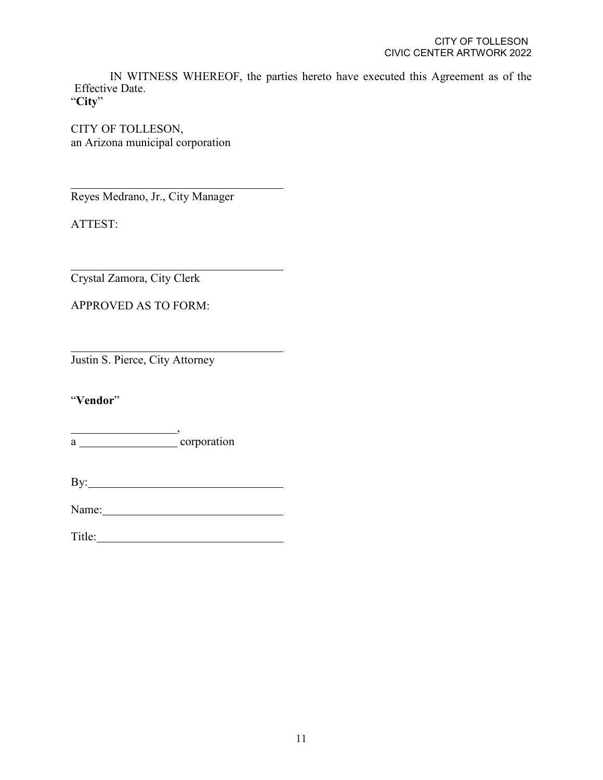IN WITNESS WHEREOF, the parties hereto have executed this Agreement as of the Effective Date.

"**City**"

CITY OF TOLLESON, an Arizona municipal corporation

Reyes Medrano, Jr., City Manager

ATTEST:

Crystal Zamora, City Clerk

APPROVED AS TO FORM:

Justin S. Pierce, City Attorney

"**Vendor**"

, a corporation

By:

Name: Name and Allen and Allen and Allen and Allen and Allen and Allen and Allen and Allen and Allen and Allen and Allen and Allen and Allen and Allen and Allen and Allen and Allen and Allen and Allen and Allen and Allen a

Title: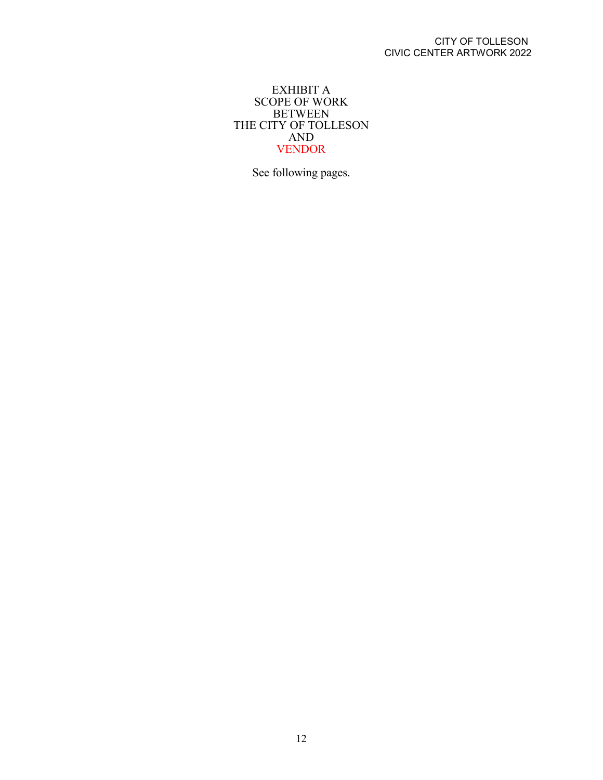# EXHIBIT A SCOPE OF WORK BETWEEN THE CITY OF TOLLESON AND VENDOR

See following pages.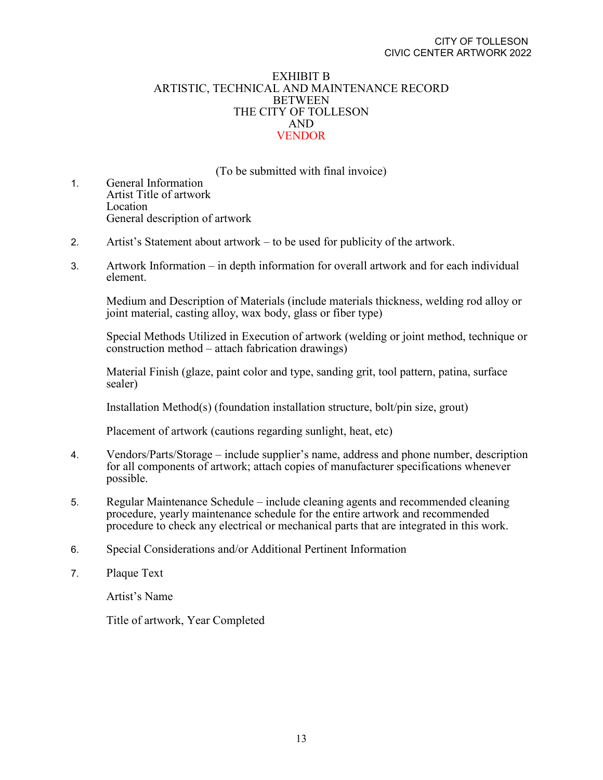## EXHIBIT B ARTISTIC, TECHNICAL AND MAINTENANCE RECORD BETWEEN THE CITY OF TOLLESON AND VENDOR

(To be submitted with final invoice)

- 1. General Information Artist Title of artwork Location General description of artwork
- 2. Artist's Statement about artwork to be used for publicity of the artwork.
- 3. Artwork Information in depth information for overall artwork and for each individual element.

Medium and Description of Materials (include materials thickness, welding rod alloy or joint material, casting alloy, wax body, glass or fiber type)

Special Methods Utilized in Execution of artwork (welding or joint method, technique or construction method – attach fabrication drawings)

Material Finish (glaze, paint color and type, sanding grit, tool pattern, patina, surface sealer)

Installation Method(s) (foundation installation structure, bolt/pin size, grout)

Placement of artwork (cautions regarding sunlight, heat, etc)

- 4. Vendors/Parts/Storage include supplier's name, address and phone number, description for all components of artwork; attach copies of manufacturer specifications whenever possible.
- 5. Regular Maintenance Schedule include cleaning agents and recommended cleaning procedure, yearly maintenance schedule for the entire artwork and recommended procedure to check any electrical or mechanical parts that are integrated in this work.
- 6. Special Considerations and/or Additional Pertinent Information
- 7. Plaque Text

Artist's Name

Title of artwork, Year Completed